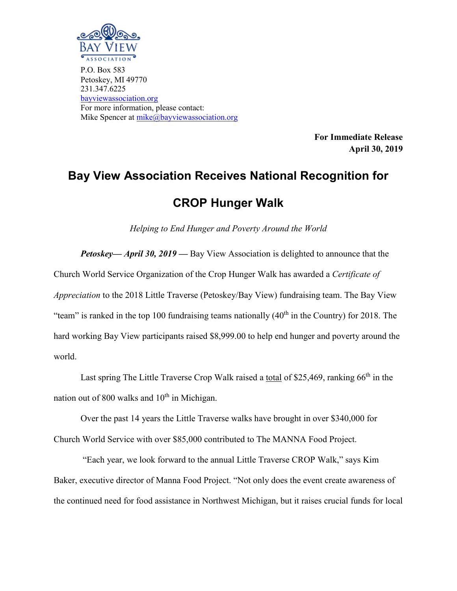

P.O. Box 583 Petoskey, MI 49770 231.347.6225 [bayviewassociation.org](http://www.bayviewassociation.org/) For more information, please contact: Mike Spencer at [mike@bayviewassociation.org](mailto:mike@bayviewassociation.org)

> **For Immediate Release April 30, 2019**

## **Bay View Association Receives National Recognition for CROP Hunger Walk**

*Helping to End Hunger and Poverty Around the World*

*Petoskey— April 30, 2019 —* Bay View Association is delighted to announce that the Church World Service Organization of the Crop Hunger Walk has awarded a *Certificate of Appreciation* to the 2018 Little Traverse (Petoskey/Bay View) fundraising team. The Bay View "team" is ranked in the top 100 fundraising teams nationally  $(40<sup>th</sup>$  in the Country) for 2018. The hard working Bay View participants raised \$8,999.00 to help end hunger and poverty around the world.

Last spring The Little Traverse Crop Walk raised a total of \$25,469, ranking 66<sup>th</sup> in the nation out of 800 walks and  $10<sup>th</sup>$  in Michigan.

Over the past 14 years the Little Traverse walks have brought in over \$340,000 for Church World Service with over \$85,000 contributed to The MANNA Food Project.

"Each year, we look forward to the annual Little Traverse CROP Walk," says Kim Baker, executive director of Manna Food Project. "Not only does the event create awareness of the continued need for food assistance in Northwest Michigan, but it raises crucial funds for local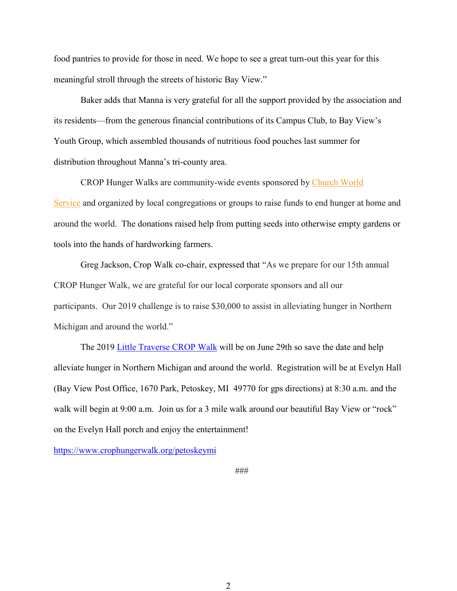food pantries to provide for those in need. We hope to see a great turn-out this year for this meaningful stroll through the streets of historic Bay View."

Baker adds that Manna is very grateful for all the support provided by the association and its residents—from the generous financial contributions of its Campus Club, to Bay View's Youth Group, which assembled thousands of nutritious food pouches last summer for distribution throughout Manna's tri-county area.

CROP Hunger Walks are community-wide events sponsored by [Church World](http://www.cwsglobal.org/)  [Service](http://www.cwsglobal.org/) and organized by local congregations or groups to raise funds to end hunger at home and around the world. The donations raised help from putting seeds into otherwise empty gardens or tools into the hands of hardworking farmers.

Greg Jackson, Crop Walk co-chair, expressed that "As we prepare for our 15th annual CROP Hunger Walk, we are grateful for our local corporate sponsors and all our participants. Our 2019 challenge is to raise \$30,000 to assist in alleviating hunger in Northern Michigan and around the world."

The 2019 [Little Traverse CROP Walk](https://www.crophungerwalk.org/petoskeymi) will be on June 29th so save the date and help alleviate hunger in Northern Michigan and around the world. Registration will be at Evelyn Hall (Bay View Post Office, 1670 Park, Petoskey, MI 49770 for gps directions) at 8:30 a.m. and the walk will begin at 9:00 a.m. Join us for a 3 mile walk around our beautiful Bay View or "rock" on the Evelyn Hall porch and enjoy the entertainment!

<https://www.crophungerwalk.org/petoskeymi>

###